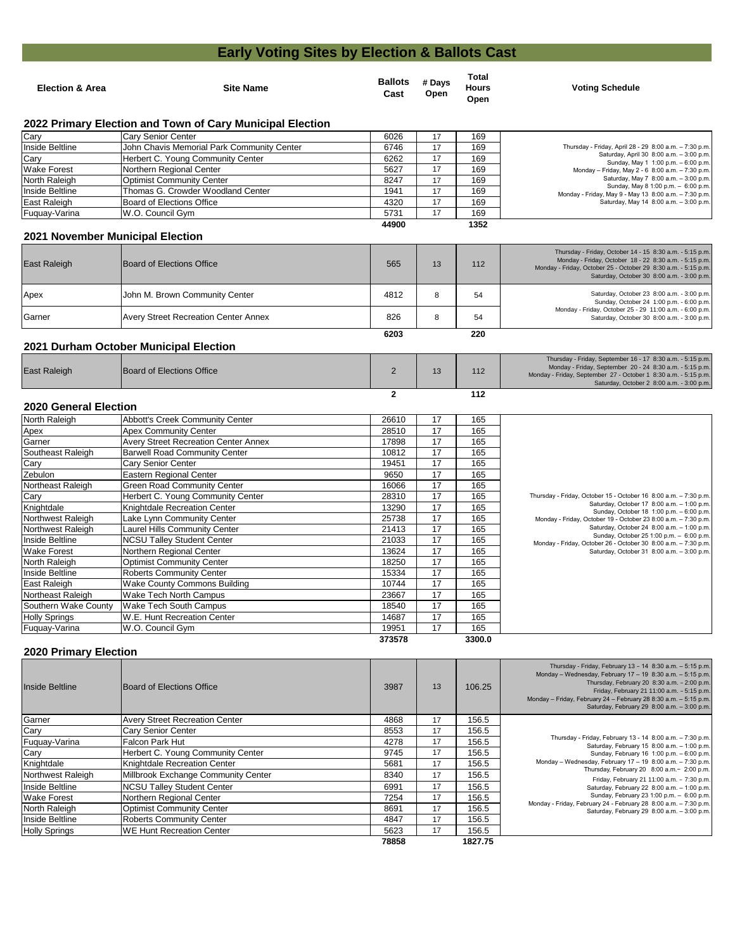| <b>Election &amp; Area</b> | <b>Site Name</b> | <b>Ballots</b><br># Days<br>Open<br>Cast | Total<br><b>Hours</b><br>Open | <b>Voting Schedule</b> |
|----------------------------|------------------|------------------------------------------|-------------------------------|------------------------|
|                            |                  |                                          |                               |                        |

| <b>East Raleigh</b> | Board of Elections Office |  | 112 | Thursday - Friday, September 16 - 17 8:30 a.m. - 5:15 p.m.<br>Monday - Friday, September 20 - 24 8:30 a.m. - 5:15 p.m.<br>Monday - Friday, September 27 - October 1 8:30 a.m. - 5:15 p.m.<br>Saturday, October 2 8:00 a.m. - 3:00 p.m. |
|---------------------|---------------------------|--|-----|----------------------------------------------------------------------------------------------------------------------------------------------------------------------------------------------------------------------------------------|
|                     |                           |  | 112 |                                                                                                                                                                                                                                        |

| Cary               | Cary Senior Center                         | 6026  | 17 | 169  |                                                                                               |
|--------------------|--------------------------------------------|-------|----|------|-----------------------------------------------------------------------------------------------|
| Inside Beltline    | John Chavis Memorial Park Community Center | 6746  | 17 | 169  | Thursday - Friday, April 28 - 29 8:00 a.m. - 7:30 p.m.                                        |
| Cary               | Herbert C. Young Community Center          | 6262  | 17 | 169  | Saturday, April 30 8:00 a.m. - 3:00 p.m.<br>Sunday, May 1 1:00 p.m. - 6:00 p.m.               |
| <b>Wake Forest</b> | Northern Regional Center                   | 5627  | 17 | 169  | Monday – Friday, May 2 - 6 8:00 a.m. – 7:30 p.m.                                              |
| North Raleigh      | <b>Optimist Community Center</b>           | 8247  | 17 | 169  | Saturday, May 7 $8.00$ a.m. $-3.00$ p.m.                                                      |
| Inside Beltline    | Thomas G. Crowder Woodland Center          | 1941  | 17 | 169  | Sunday, May 8 1:00 p.m. $-6:00$ p.m.<br>Monday - Friday, May 9 - May 13 8:00 a.m. - 7:30 p.m. |
| East Raleigh       | Board of Elections Office                  | 4320  | 17 | 169  | Saturday, May 14 $8.00$ a.m. $-3.00$ p.m.                                                     |
| Fuquay-Varina      | W.O. Council Gym                           | 5731  | 17 | 169  |                                                                                               |
|                    |                                            | 44900 |    | 1352 |                                                                                               |

**373578 3300.0**

| East Raleigh | Board of Elections Office                   | 565  | 13 | 112 | Thursday - Friday, October 14 - 15 8:30 a.m. - 5:15 p.m.<br>Monday - Friday, October 18 - 22 8:30 a.m. - 5:15 p.m.<br>Monday - Friday, October 25 - October 29 8:30 a.m. - 5:15 p.m.<br>Saturday, October 30 8:00 a.m. - 3:00 p.m. |
|--------------|---------------------------------------------|------|----|-----|------------------------------------------------------------------------------------------------------------------------------------------------------------------------------------------------------------------------------------|
| Apex         | John M. Brown Community Center              | 4812 |    | 54  | Saturday, October 23 8:00 a.m. - 3:00 p.m.<br>Sunday, October 24 1:00 p.m. - 6:00 p.m.                                                                                                                                             |
| Garner       | <b>Avery Street Recreation Center Annex</b> | 826  |    | 54  | Monday - Friday, October 25 - 29 11:00 a.m. - 6:00 p.m.<br>Saturday, October 30 8:00 a.m. - 3:00 p.m.                                                                                                                              |
|              |                                             | 6203 |    | 220 |                                                                                                                                                                                                                                    |

| Inside Beltline      | <b>IBoard of Elections Office</b>     | 3987  | 13 | 106.25  | Thursday - Friday, February 13 - 14 8:30 a.m. - 5:15 p.m.<br>Monday - Wednesday, February 17 - 19 8:30 a.m. - 5:15 p.m.<br>Thursday, February 20 8:30 a.m. - 2:00 p.m.<br>Friday, February 21 11:00 a.m. - 5:15 p.m.<br>Monday - Friday, February 24 - February 28 8:30 a.m. - 5:15 p.m.<br>Saturday, February 29 8:00 a.m. - 3:00 p.m. |
|----------------------|---------------------------------------|-------|----|---------|-----------------------------------------------------------------------------------------------------------------------------------------------------------------------------------------------------------------------------------------------------------------------------------------------------------------------------------------|
| Garner               | <b>Avery Street Recreation Center</b> | 4868  | 17 | 156.5   |                                                                                                                                                                                                                                                                                                                                         |
| Cary                 | Cary Senior Center                    | 8553  | 17 | 156.5   |                                                                                                                                                                                                                                                                                                                                         |
| Fuquay-Varina        | Falcon Park Hut                       | 4278  | 17 | 156.5   | Thursday - Friday, February 13 - 14 8:00 a.m. - 7:30 p.m.<br>Saturday, February 15 8:00 a.m. - 1:00 p.m.                                                                                                                                                                                                                                |
| Cary                 | Herbert C. Young Community Center     | 9745  | 17 | 156.5   | Sunday, February 16 1:00 p.m. - 6:00 p.m.                                                                                                                                                                                                                                                                                               |
| Knightdale           | Knightdale Recreation Center          | 5681  | 17 | 156.5   | Monday - Wednesday, February 17 - 19 8:00 a.m. - 7:30 p.m.                                                                                                                                                                                                                                                                              |
| Northwest Raleigh    | Millbrook Exchange Community Center   | 8340  | 17 | 156.5   | Thursday, February 20 8:00 a.m. - 2:00 p.m.<br>Friday, February 21 11:00 a.m. - 7:30 p.m.                                                                                                                                                                                                                                               |
| Inside Beltline      | <b>NCSU Talley Student Center</b>     | 6991  | 17 | 156.5   | Saturday, February 22 8:00 a.m. - 1:00 p.m.                                                                                                                                                                                                                                                                                             |
| <b>Wake Forest</b>   | Northern Regional Center              | 7254  | 17 | 156.5   | Sunday, February 23 1:00 p.m. - 6:00 p.m.                                                                                                                                                                                                                                                                                               |
| North Raleigh        | <b>Optimist Community Center</b>      | 8691  | 17 | 156.5   | Monday - Friday, February 24 - February 28 8:00 a.m. - 7:30 p.m.<br>Saturday, February 29 $8:00$ a.m. $-3:00$ p.m.                                                                                                                                                                                                                      |
| Inside Beltline      | <b>Roberts Community Center</b>       | 4847  | 17 | 156.5   |                                                                                                                                                                                                                                                                                                                                         |
| <b>Holly Springs</b> | <b>WE Hunt Recreation Center</b>      | 5623  | 17 | 156.5   |                                                                                                                                                                                                                                                                                                                                         |
|                      |                                       | 78858 |    | 1827.75 |                                                                                                                                                                                                                                                                                                                                         |

| <b>Abbott's Creek Community Center</b>      | 26610 | 17 | 165 |                                                                                                            |
|---------------------------------------------|-------|----|-----|------------------------------------------------------------------------------------------------------------|
| <b>Apex Community Center</b>                | 28510 | 17 | 165 |                                                                                                            |
| <b>Avery Street Recreation Center Annex</b> | 17898 | 17 | 165 |                                                                                                            |
| <b>Barwell Road Community Center</b>        | 10812 | 17 | 165 |                                                                                                            |
| <b>Cary Senior Center</b>                   | 19451 | 17 | 165 |                                                                                                            |
| <b>Eastern Regional Center</b>              | 9650  | 17 | 165 |                                                                                                            |
| <b>Green Road Community Center</b>          | 16066 | 17 | 165 |                                                                                                            |
| Herbert C. Young Community Center           | 28310 | 17 | 165 | Thursday - Friday, October 15 - October 16 8:00 a.m. - 7:30 p.m.                                           |
| Knightdale Recreation Center                | 13290 | 17 | 165 | Saturday, October 17 8:00 a.m. - 1:00 p.m.<br>Sunday, October 18 1:00 p.m. - 6:00 p.m.                     |
| Lake Lynn Community Center                  | 25738 | 17 | 165 | Monday - Friday, October 19 - October 23 8:00 a.m. - 7:30 p.m.                                             |
| <b>Laurel Hills Community Center</b>        | 21413 | 17 | 165 | Saturday, October 24 8:00 a.m. - 1:00 p.m.                                                                 |
| <b>NCSU Talley Student Center</b>           | 21033 | 17 | 165 | Sunday, October 25 1:00 p.m. - 6:00 p.m.<br>Monday - Friday, October 26 - October 30 8:00 a.m. - 7:30 p.m. |
| Northern Regional Center                    | 13624 | 17 | 165 | Saturday, October 31 8:00 a.m. - 3:00 p.m.                                                                 |
| <b>Optimist Community Center</b>            | 18250 | 17 | 165 |                                                                                                            |
| <b>Roberts Community Center</b>             | 15334 | 17 | 165 |                                                                                                            |
| <b>Wake County Commons Building</b>         | 10744 | 17 | 165 |                                                                                                            |
| <b>Wake Tech North Campus</b>               | 23667 | 17 | 165 |                                                                                                            |
| <b>Wake Tech South Campus</b>               | 18540 | 17 | 165 |                                                                                                            |
| W.E. Hunt Recreation Center                 | 14687 | 17 | 165 |                                                                                                            |
| W.O. Council Gym                            | 19951 | 17 | 165 |                                                                                                            |
|                                             |       |    |     |                                                                                                            |

## **Early Voting Sites by Election & Ballots Cast**

### **2020 Primary Election**

### **2022 Primary Election and Town of Cary Municipal Election**

### **2021 November Municipal Election**

### **2021 Durham October Municipal Election**

#### **2020 General Election**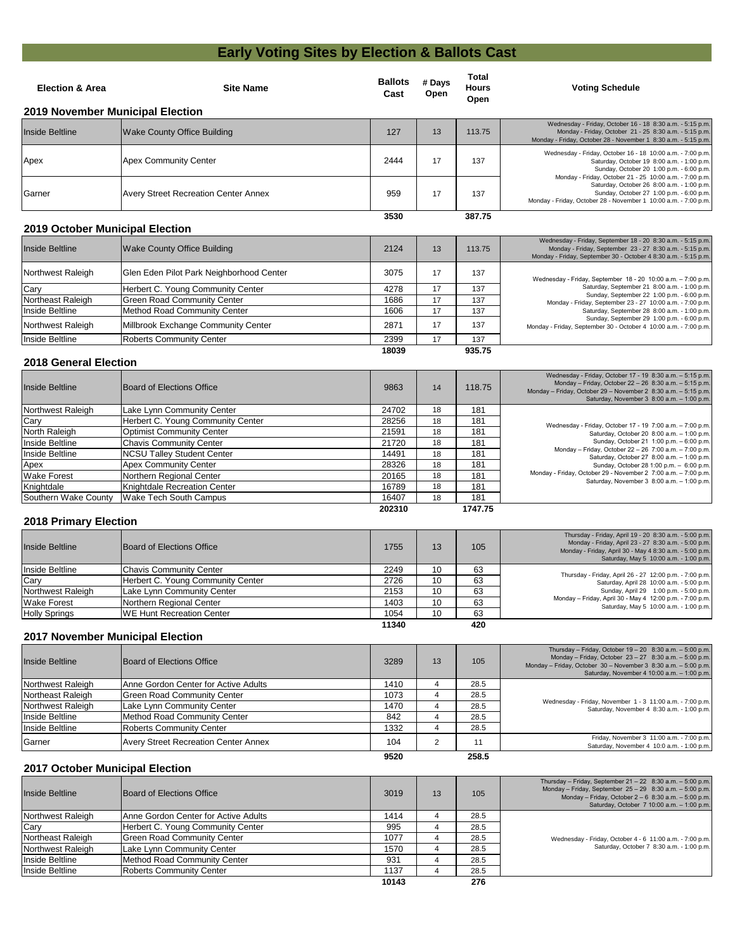# **Early Voting Sites by Election & Ballots Cast**

#### **202310 1747.75**

| <b>Election &amp; Area</b>             | <b>Site Name</b>                            | <b>Ballots</b><br><b>Cast</b> | # Days<br><b>Open</b> | <b>Total</b><br><b>Hours</b><br>Open | <b>Voting Schedule</b>                                                                                                                                                                                                                    |
|----------------------------------------|---------------------------------------------|-------------------------------|-----------------------|--------------------------------------|-------------------------------------------------------------------------------------------------------------------------------------------------------------------------------------------------------------------------------------------|
|                                        | <b>2019 November Municipal Election</b>     |                               |                       |                                      |                                                                                                                                                                                                                                           |
| <b>Inside Beltline</b>                 | <b>Wake County Office Building</b>          | 127                           | 13                    | 113.75                               | Wednesday - Friday, October 16 - 18 8:30 a.m. - 5:15 p.m.<br>Monday - Friday, October 21 - 25 8:30 a.m. - 5:15 p.m.<br>Monday - Friday, October 28 - November 1 8:30 a.m. - 5:15 p.m.                                                     |
| Apex                                   | <b>Apex Community Center</b>                | 2444                          | 17                    | 137                                  | Wednesday - Friday, October 16 - 18 10:00 a.m. - 7:00 p.m.<br>Saturday, October 19 8:00 a.m. - 1:00 p.m.<br>Sunday, October 20 1:00 p.m. - 6:00 p.m.                                                                                      |
| Garner                                 | <b>Avery Street Recreation Center Annex</b> | 959                           | 17                    | 137                                  | Monday - Friday, October 21 - 25 10:00 a.m. - 7:00 p.m.<br>Saturday, October 26 8:00 a.m. - 1:00 p.m.<br>Sunday, October 27 1:00 p.m. - 6:00 p.m.<br>Monday - Friday, October 28 - November 1 10:00 a.m. - 7:00 p.m.                      |
|                                        |                                             | 3530                          |                       | 387.75                               |                                                                                                                                                                                                                                           |
| <b>2019 October Municipal Election</b> |                                             |                               |                       |                                      |                                                                                                                                                                                                                                           |
| Inside Beltline                        | <b>Wake County Office Building</b>          | 2124                          | 13                    | 113.75                               | Wednesday - Friday, September 18 - 20 8:30 a.m. - 5:15 p.m.<br>Monday - Friday, September 23 - 27 8:30 a.m. - 5:15 p.m.<br>Monday - Friday, September 30 - October 4 8:30 a.m. - 5:15 p.m.                                                |
| Northwest Raleigh                      | Glen Eden Pilot Park Neighborhood Center    | 3075                          | 17                    | 137                                  | Wednesday - Friday, September 18 - 20 10:00 a.m. - 7:00 p.m.                                                                                                                                                                              |
| Cary                                   | Herbert C. Young Community Center           | 4278                          | 17                    | 137                                  | Saturday, September 21 8:00 a.m. - 1:00 p.m.<br>Sunday, September 22 1:00 p.m. - 6:00 p.m.                                                                                                                                                |
| Northeast Raleigh                      | <b>Green Road Community Center</b>          | 1686                          | 17                    | 137                                  | Monday - Friday, September 23 - 27 10:00 a.m. - 7:00 p.m.                                                                                                                                                                                 |
| Inside Beltline                        | <b>Method Road Community Center</b>         | 1606                          | 17                    | 137                                  | Saturday, September 28 8:00 a.m. - 1:00 p.m.                                                                                                                                                                                              |
| Northwest Raleigh                      | Millbrook Exchange Community Center         | 2871                          | 17                    | 137                                  | Sunday, September 29 1:00 p.m. - 6:00 p.m.<br>Monday - Friday, September 30 - October 4 10:00 a.m. - 7:00 p.m.                                                                                                                            |
| Inside Beltline                        | <b>Roberts Community Center</b>             | 2399                          | 17                    | 137                                  |                                                                                                                                                                                                                                           |
|                                        |                                             | 18039                         |                       | 935.75                               |                                                                                                                                                                                                                                           |
| <b>2018 General Election</b>           |                                             |                               |                       |                                      |                                                                                                                                                                                                                                           |
| <b>Inside Beltline</b>                 | <b>Board of Elections Office</b>            | 9863                          | 14                    | 118.75                               | Wednesday - Friday, October 17 - 19 8:30 a.m. - 5:15 p.m.<br>Monday - Friday, October 22 - 26 8:30 a.m. - 5:15 p.m.<br>Monday - Friday, October 29 - November 2 8:30 a.m. - 5:15 p.m.<br>Saturday, November $3\,$ 8:00 a.m. $-$ 1:00 p.m. |
| Northwest Raleigh                      | Lake Lynn Community Center                  | 24702                         | 18                    | 181                                  |                                                                                                                                                                                                                                           |
| Cary                                   | Herbert C. Young Community Center           | 28256                         | 18                    | 181                                  | Wednesday - Friday, October 17 - 19 7:00 a.m. - 7:00 p.m.                                                                                                                                                                                 |
| North Raleigh                          | <b>Optimist Community Center</b>            | 21591                         | 18                    | 181                                  | Saturday, October 20 8:00 a.m. - 1:00 p.m.                                                                                                                                                                                                |
| Inside Beltline                        | <b>Chavis Community Center</b>              | 21720                         | 18                    | 181                                  | Sunday, October 21 1:00 p.m. - 6:00 p.m.<br>Monday - Friday, October 22 - 26 7:00 a.m. - 7:00 p.m.                                                                                                                                        |
| Inside Beltline                        | <b>NCSU Talley Student Center</b>           | 14491                         | 18                    | 181                                  | Saturday, October 27 8:00 a.m. - 1:00 p.m.                                                                                                                                                                                                |

| <b>Inside Beltline</b> | <b>IBoard of Elections Office</b> | 1755  | 13 | 105 | Thursday - Friday, April 19 - 20 8:30 a.m. - 5:00 p.m.<br>Monday - Friday, April 23 - 27 8:30 a.m. - 5:00 p.m.<br>Monday - Friday, April 30 - May 4 8:30 a.m. - 5:00 p.m.<br>Saturday, May 5 10:00 a.m. - 1:00 p.m. |
|------------------------|-----------------------------------|-------|----|-----|---------------------------------------------------------------------------------------------------------------------------------------------------------------------------------------------------------------------|
| Inside Beltline        | <b>Chavis Community Center</b>    | 2249  | 10 | 63  | Thursday - Friday, April 26 - 27 12:00 p.m. - 7:00 p.m.                                                                                                                                                             |
| Cary                   | Herbert C. Young Community Center | 2726  | 10 | 63  | Saturday, April 28 10:00 a.m. - 5:00 p.m.                                                                                                                                                                           |
| Northwest Raleigh      | Lake Lynn Community Center        | 2153  | 10 | 63  | Sunday, April 29 1:00 p.m. - 5:00 p.m.                                                                                                                                                                              |
| <b>Wake Forest</b>     | Northern Regional Center          | 1403  | 10 | 63  | Monday - Friday, April 30 - May 4 12:00 p.m. - 7:00 p.m.<br>Saturday, May 5 10:00 a.m. - 1:00 p.m.                                                                                                                  |
| <b>Holly Springs</b>   | <b>IWE Hunt Recreation Center</b> | 1054  | 10 | 63  |                                                                                                                                                                                                                     |
|                        |                                   | 11340 |    | 420 |                                                                                                                                                                                                                     |

**9520 258.5**

| Inside Beltline      | Board of Elections Office         | 9863  | 14 | 118.75 | Monday - Friday, October 22 - 26 8:30 a.m. - 5:15 p.m.<br>Monday - Friday, October 29 - November 2 8:30 a.m. - 5:15 p.m.<br>Saturday, November 3 8:00 a.m. - 1:00 p.m. |
|----------------------|-----------------------------------|-------|----|--------|------------------------------------------------------------------------------------------------------------------------------------------------------------------------|
| Northwest Raleigh    | Lake Lynn Community Center        | 24702 | 18 | 181    |                                                                                                                                                                        |
| Cary                 | Herbert C. Young Community Center | 28256 | 18 | 181    | Wednesday - Friday, October 17 - 19 7:00 a.m. - 7:00 p.m.                                                                                                              |
| North Raleigh        | <b>Optimist Community Center</b>  | 21591 | 18 | 181    | Saturday, October 20 8:00 a.m. - 1:00 p.m.                                                                                                                             |
| Inside Beltline      | <b>Chavis Community Center</b>    | 21720 | 18 | 181    | Sunday, October 21 1:00 p.m. - 6:00 p.m.                                                                                                                               |
| Inside Beltline      | <b>NCSU Talley Student Center</b> | 14491 | 18 | 181    | Monday - Friday, October 22 - 26 7:00 a.m. - 7:00 p.m.<br>Saturday, October 27 8:00 a.m. - 1:00 p.m.                                                                   |
| Apex                 | <b>Apex Community Center</b>      | 28326 | 18 | 181    | Sunday, October 28 1:00 p.m. - 6:00 p.m.                                                                                                                               |
| <b>Wake Forest</b>   | Northern Regional Center          | 20165 | 18 | 181    | Monday - Friday, October 29 - November 2 7:00 a.m. - 7:00 p.m.<br>Saturday, November 3 8:00 a.m. - 1:00 p.m.                                                           |
| Knightdale           | Knightdale Recreation Center      | 16789 | 18 | 181    |                                                                                                                                                                        |
| Southern Wake County | Wake Tech South Campus            | 16407 | 18 | 181    |                                                                                                                                                                        |

| <b>Inside Beltline</b> | Board of Elections Office            | 3019  | 13 | 105  | Thursday - Friday, September $21 - 22$ 8:30 a.m. $-5:00$ p.m.<br>Monday – Friday, September $25 - 29$ 8:30 a.m. – 5:00 p.m.<br>Monday - Friday, October $2 - 6$ 8:30 a.m. $- 5:00$ p.m.<br>Saturday, October 7 10:00 a.m. - 1:00 p.m. |
|------------------------|--------------------------------------|-------|----|------|---------------------------------------------------------------------------------------------------------------------------------------------------------------------------------------------------------------------------------------|
| Northwest Raleigh      | Anne Gordon Center for Active Adults | 1414  |    | 28.5 |                                                                                                                                                                                                                                       |
| Cary                   | Herbert C. Young Community Center    | 995   |    | 28.5 |                                                                                                                                                                                                                                       |
| Northeast Raleigh      | <b>Green Road Community Center</b>   | 1077  |    | 28.5 | Wednesday - Friday, October 4 - 6 11:00 a.m. - 7:00 p.m.                                                                                                                                                                              |
| Northwest Raleigh      | Lake Lynn Community Center           | 1570  |    | 28.5 | Saturday, October 7 8:30 a.m. - 1:00 p.m.                                                                                                                                                                                             |
| Inside Beltline        | Method Road Community Center         | 931   |    | 28.5 |                                                                                                                                                                                                                                       |
| Inside Beltline        | <b>Roberts Community Center</b>      | 1137  |    | 28.5 |                                                                                                                                                                                                                                       |
|                        |                                      | 10143 |    | 276  |                                                                                                                                                                                                                                       |

## **2017 November Municipal Election**

### **2017 October Municipal Election**

| Inside Beltline   | Board of Elections Office                   | 3289        | 13 | 105   | Thursday - Friday, October $19 - 20$ 8:30 a.m. $-5:00$ p.m.<br>Monday - Friday, October 23 - 27 8:30 a.m. - 5:00 p.m.<br>Monday - Friday, October 30 - November 3 8:30 a.m. - 5:00 p.m.<br>Saturday, November 4 10:00 a.m. - 1:00 p.m. |
|-------------------|---------------------------------------------|-------------|----|-------|----------------------------------------------------------------------------------------------------------------------------------------------------------------------------------------------------------------------------------------|
| Northwest Raleigh | Anne Gordon Center for Active Adults        | 1410        |    | 28.5  |                                                                                                                                                                                                                                        |
| Northeast Raleigh | Green Road Community Center                 | 1073        |    | 28.5  |                                                                                                                                                                                                                                        |
| Northwest Raleigh | Lake Lynn Community Center                  | 1470        |    | 28.5  | Wednesday - Friday, November 1 - 3 11:00 a.m. - 7:00 p.m.<br>Saturday, November 4 8:30 a.m. - 1:00 p.m.                                                                                                                                |
| Inside Beltline   | Method Road Community Center                | 842         |    | 28.5  |                                                                                                                                                                                                                                        |
| Inside Beltline   | Roberts Community Center                    | 1332        |    | 28.5  |                                                                                                                                                                                                                                        |
| Garner            | <b>Avery Street Recreation Center Annex</b> | 104         |    |       | Friday, November 3 11:00 a.m. - 7:00 p.m.<br>Saturday, November 4 10:0 a.m. - 1:00 p.m.                                                                                                                                                |
|                   |                                             | <b>AEAA</b> |    | OFO F |                                                                                                                                                                                                                                        |

## **2018 Primary Election**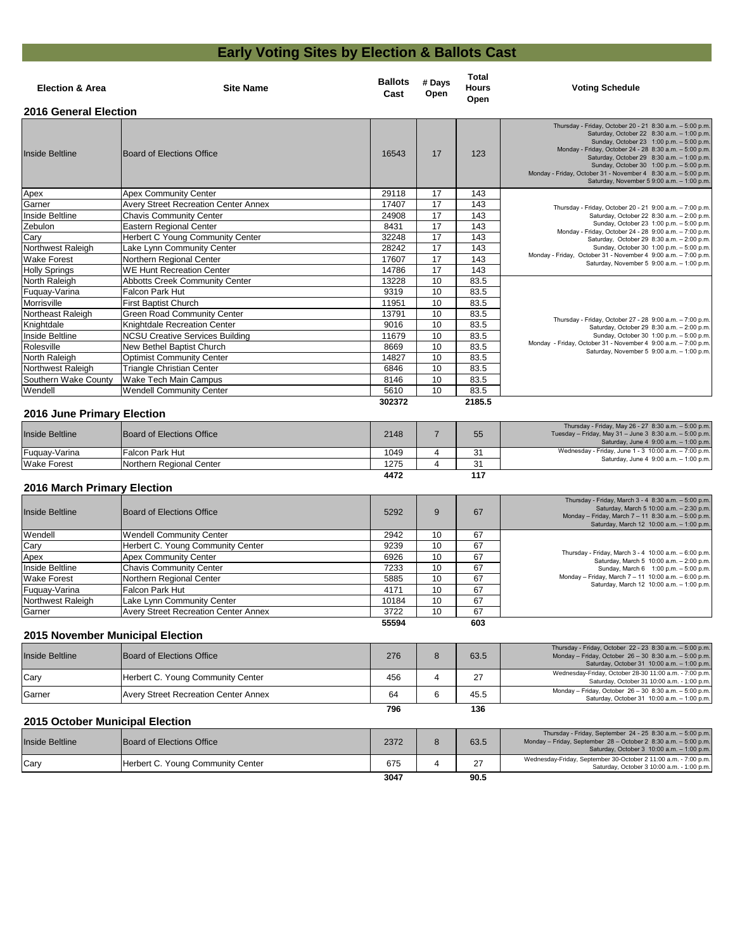# **Early Voting Sites by Election & Ballots Cast**

| <b>Election &amp; Area</b>         | <b>Site Name</b>                            | <b>Ballots</b><br>Cast                       | # Days<br>Open | <b>Total</b><br><b>Hours</b><br>Open | <b>Voting Schedule</b>                                                                                                                                                                                                                                                                                                                                                                                                 |
|------------------------------------|---------------------------------------------|----------------------------------------------|----------------|--------------------------------------|------------------------------------------------------------------------------------------------------------------------------------------------------------------------------------------------------------------------------------------------------------------------------------------------------------------------------------------------------------------------------------------------------------------------|
| <b>2016 General Election</b>       |                                             |                                              |                |                                      |                                                                                                                                                                                                                                                                                                                                                                                                                        |
| <b>Inside Beltline</b>             | <b>Board of Elections Office</b>            | 16543                                        | 17             | 123                                  | Thursday - Friday, October 20 - 21 8:30 a.m. - 5:00 p.m.<br>Saturday, October 22 8:30 a.m. - 1:00 p.m.<br>Sunday, October 23 1:00 p.m. - 5:00 p.m.<br>Monday - Friday, October 24 - 28 8:30 a.m. - 5:00 p.m.<br>Saturday, October 29 8:30 a.m. - 1:00 p.m.<br>Sunday, October 30 1:00 p.m. - 5:00 p.m.<br>Monday - Friday, October 31 - November 4 8:30 a.m. - 5:00 p.m.<br>Saturday, November 5 9:00 a.m. - 1:00 p.m. |
| Apex                               | <b>Apex Community Center</b>                | 29118                                        | 17             | 143                                  |                                                                                                                                                                                                                                                                                                                                                                                                                        |
| Garner                             | <b>Avery Street Recreation Center Annex</b> | 17407                                        | 17             | 143                                  | Thursday - Friday, October 20 - 21 9:00 a.m. - 7:00 p.m.                                                                                                                                                                                                                                                                                                                                                               |
| Inside Beltline                    | <b>Chavis Community Center</b>              | 24908                                        | 17             | 143                                  | Saturday, October 22 8:30 a.m. - 2:00 p.m.                                                                                                                                                                                                                                                                                                                                                                             |
| Zebulon                            | <b>Eastern Regional Center</b>              | 8431                                         | 17             | 143                                  | Sunday, October 23 1:00 p.m. - 5:00 p.m.<br>Monday - Friday, October 24 - 28 9:00 a.m. - 7:00 p.m.                                                                                                                                                                                                                                                                                                                     |
| Cary                               | <b>Herbert C Young Community Center</b>     | 32248                                        | 17             | 143                                  | Saturday, October 29 8:30 a.m. - 2:00 p.m.                                                                                                                                                                                                                                                                                                                                                                             |
| Northwest Raleigh                  | Lake Lynn Community Center                  | 28242                                        | 17             | 143                                  | Sunday, October 30 1:00 p.m. - 5:00 p.m.                                                                                                                                                                                                                                                                                                                                                                               |
| <b>Wake Forest</b>                 | Northern Regional Center                    | 17607                                        | 17             | 143                                  | Monday - Friday, October 31 - November 4 9:00 a.m. - 7:00 p.m.<br>Saturday, November 5 $9:00$ a.m. $-1:00$ p.m.                                                                                                                                                                                                                                                                                                        |
| <b>Holly Springs</b>               | <b>WE Hunt Recreation Center</b>            | 14786                                        | 17             | 143                                  |                                                                                                                                                                                                                                                                                                                                                                                                                        |
| North Raleigh                      | <b>Abbotts Creek Community Center</b>       | 13228                                        | 10             | 83.5                                 |                                                                                                                                                                                                                                                                                                                                                                                                                        |
| Fuquay-Varina                      | <b>Falcon Park Hut</b>                      | 9319                                         | 10             | 83.5                                 |                                                                                                                                                                                                                                                                                                                                                                                                                        |
| Morrisville                        | <b>First Baptist Church</b>                 | 11951                                        | 10             | 83.5                                 |                                                                                                                                                                                                                                                                                                                                                                                                                        |
| Northeast Raleigh                  | <b>Green Road Community Center</b>          | 13791                                        | 10             | 83.5                                 |                                                                                                                                                                                                                                                                                                                                                                                                                        |
| Knightdale                         | Knightdale Recreation Center                | 9016                                         | 10             | 83.5                                 | Thursday - Friday, October 27 - 28 9:00 a.m. - 7:00 p.m.<br>Saturday, October 29 8:30 a.m. - 2:00 p.m.                                                                                                                                                                                                                                                                                                                 |
| Inside Beltline                    | <b>NCSU Creative Services Building</b>      | 11679                                        | 10             | 83.5                                 | Sunday, October 30 1:00 p.m. - 5:00 p.m.                                                                                                                                                                                                                                                                                                                                                                               |
| Rolesville                         | <b>New Bethel Baptist Church</b>            | 8669                                         | 10             | 83.5                                 | Monday - Friday, October 31 - November 4 9:00 a.m. - 7:00 p.m.<br>Saturday, November 5 9:00 a.m. - 1:00 p.m.                                                                                                                                                                                                                                                                                                           |
| North Raleigh                      | <b>Optimist Community Center</b>            | 14827                                        | 10             | 83.5                                 |                                                                                                                                                                                                                                                                                                                                                                                                                        |
| Northwest Raleigh                  | <b>Triangle Christian Center</b>            | 6846                                         | 10             | 83.5                                 |                                                                                                                                                                                                                                                                                                                                                                                                                        |
| Southern Wake County               | <b>Wake Tech Main Campus</b>                | 8146                                         | 10             | 83.5                                 |                                                                                                                                                                                                                                                                                                                                                                                                                        |
| Wendell                            | <b>Wendell Community Center</b>             | 5610                                         | 10             | 83.5                                 |                                                                                                                                                                                                                                                                                                                                                                                                                        |
| <b>2016 June Primary Election</b>  |                                             | 302372                                       |                | 2185.5                               |                                                                                                                                                                                                                                                                                                                                                                                                                        |
| Inside Beltline                    | <b>Board of Elections Office</b>            | 2148                                         | $\overline{7}$ | 55                                   | Thursday - Friday, May 26 - 27 8:30 a.m. - 5:00 p.m.<br>Tuesday - Friday, May 31 - June 3 8:30 a.m. - 5:00 p.m.<br>Saturday, June 4 9:00 a.m. - 1:00 p.m.                                                                                                                                                                                                                                                              |
| Fuquay-Varina                      | <b>Falcon Park Hut</b>                      | 1049                                         | 4              | 31                                   | Wednesday - Friday, June 1 - 3 10:00 a.m. - 7:00 p.m.                                                                                                                                                                                                                                                                                                                                                                  |
| <b>Wake Forest</b>                 | Northern Regional Center                    | 1275                                         | 4              | 31                                   | Saturday, June 4 9:00 a.m. - 1:00 p.m.                                                                                                                                                                                                                                                                                                                                                                                 |
| <b>2016 March Primary Election</b> |                                             | 4472                                         |                | 117                                  |                                                                                                                                                                                                                                                                                                                                                                                                                        |
| <b>Inside Beltline</b>             | <b>Board of Elections Office</b>            | 5292                                         | 9              | 67                                   | Thursday - Friday, March 3 - 4 8:30 a.m. - 5:00 p.m.<br>Saturday, March 5 10:00 a.m. - 2:30 p.m.<br>Monday - Friday, March 7 - 11 8:30 a.m. - 5:00 p.m.<br>Saturday, March 12 10:00 a.m. - 1:00 p.m.                                                                                                                                                                                                                   |
| Wendell                            | <b>Wendell Community Center</b>             | 2942                                         | 10             | 67                                   |                                                                                                                                                                                                                                                                                                                                                                                                                        |
| Cary                               | Herbert C. Young Community Center           | 9239                                         | 10             | 67                                   |                                                                                                                                                                                                                                                                                                                                                                                                                        |
| Apex                               | <b>Apex Community Center</b>                | 6926                                         | 10             | 67                                   | Thursday - Friday, March $3 - 4$ 10:00 a.m. $-6:00$ p.m.<br>Saturday, March 5 10:00 a.m. - 2:00 p.m.                                                                                                                                                                                                                                                                                                                   |
| Inside Beltline                    | <b>Chavis Community Center</b>              | 7233                                         | 10             | 67                                   | Sunday, March 6 1:00 p.m. - 5:00 p.m.                                                                                                                                                                                                                                                                                                                                                                                  |
| <b>Wake Forest</b>                 | Northern Regional Center                    | 5885                                         | 10             | 67                                   | Monday - Friday, March 7 - 11 10:00 a.m. - 6:00 p.m.                                                                                                                                                                                                                                                                                                                                                                   |
|                                    | Felgen Derk Llut                            | $\overline{A}$ $\overline{A}$ $\overline{A}$ | $\overline{A}$ | $\sim$                               | Saturday, March 12 10:00 a.m. - 1:00 p.m.                                                                                                                                                                                                                                                                                                                                                                              |

| Inside Beltline    | Board of Elections Office                   | 5292  |    | 67  | Thursday - Friday, March $3 - 4$ 8:30 a.m. $- 5:00$ p.m.<br>Saturday, March 5 10:00 a.m. - 2:30 p.m.<br>Monday – Friday, March $7 - 11$ 8:30 a.m. – 5:00 p.m.<br>Saturday, March 12 10:00 a.m. - 1:00 p.m.                                                                    |
|--------------------|---------------------------------------------|-------|----|-----|-------------------------------------------------------------------------------------------------------------------------------------------------------------------------------------------------------------------------------------------------------------------------------|
| Wendell            | Wendell Community Center                    | 2942  | 10 | 67  |                                                                                                                                                                                                                                                                               |
| Cary               | Herbert C. Young Community Center           | 9239  | 10 | 67  | Thursday - Friday, March $3 - 4$ 10:00 a.m. $- 6:00$ p.m.<br>Saturday, March 5 10:00 a.m. - 2:00 p.m.<br>Sunday, March $6 \quad 1.00 \text{ p.m.} - 5.00 \text{ p.m.}$<br>Monday – Friday, March $7 - 11$ 10:00 a.m. – 6:00 p.m.<br>Saturday, March 12 10:00 a.m. - 1:00 p.m. |
| Apex               | <b>Apex Community Center</b>                | 6926  | 10 | 67  |                                                                                                                                                                                                                                                                               |
| Inside Beltline    | <b>Chavis Community Center</b>              | 7233  | 10 | 67  |                                                                                                                                                                                                                                                                               |
| <b>Wake Forest</b> | Northern Regional Center                    | 5885  | 10 | 67  |                                                                                                                                                                                                                                                                               |
| Fuquay-Varina      | Falcon Park Hut                             | 4171  | 10 | 67  |                                                                                                                                                                                                                                                                               |
| Northwest Raleigh  | Lake Lynn Community Center                  | 10184 | 10 | 67  |                                                                                                                                                                                                                                                                               |
| Garner             | <b>Avery Street Recreation Center Annex</b> | 3722  | 10 | 67  |                                                                                                                                                                                                                                                                               |
|                    |                                             | 55594 |    | 603 |                                                                                                                                                                                                                                                                               |

| <b>Inside Beltline</b> | Board of Elections Office                   | 276 | 63.5 | Thursday - Friday, October 22 - 23 8:30 a.m. - 5:00 p.m.<br>Monday – Friday, October $26 - 30$ 8:30 a.m. – 5:00 p.m.<br>Saturday, October 31 10:00 a.m. - 1:00 p.m. |
|------------------------|---------------------------------------------|-----|------|---------------------------------------------------------------------------------------------------------------------------------------------------------------------|
| Cary                   | Herbert C. Young Community Center           | 456 | 27   | Wednesday-Friday, October 28-30 11:00 a.m. - 7:00 p.m.<br>Saturday, October 31 10:00 a.m. - 1:00 p.m.                                                               |
| Garner                 | <b>Avery Street Recreation Center Annex</b> | 64  | 45.5 | Monday - Friday, October 26 - 30 8:30 a.m. - 5:00 p.m.<br>Saturday, October 31 10:00 $a.m. - 1:00$ p.m.                                                             |

#### **796 136**

| <b>Inside Beltline</b> | Board of Elections Office         | 2372 | 63.5 | Thursday - Friday, September 24 - 25 $8:30$ a.m. $-5:00$ p.m.<br>Monday – Friday, September $28$ – October 2 $8:30$ a.m. – 5:00 p.m.<br>Saturday, October 3 10:00 a.m. - 1:00 p.m. |
|------------------------|-----------------------------------|------|------|------------------------------------------------------------------------------------------------------------------------------------------------------------------------------------|
| Cary                   | Herbert C. Young Community Center | 675  | 27   | Wednesday-Friday, September 30-October 2 11:00 a.m. - 7:00 p.m.<br>Saturday, October 3 10:00 a.m. - 1:00 p.m.                                                                      |
|                        |                                   | 3047 | 90.5 |                                                                                                                                                                                    |

#### **2015 October Municipal Election**

## **2015 November Municipal Election**